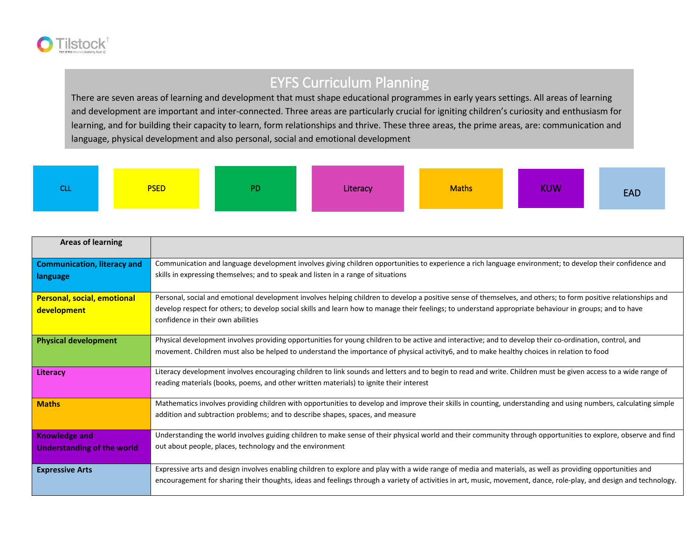

## EYFS Curriculum Planning

There are seven areas of learning and development that must shape educational programmes in early years settings. All areas of learning and development are important and inter-connected. Three areas are particularly crucial for igniting children's curiosity and enthusiasm for learning, and for building their capacity to learn, form relationships and thrive. These three areas, the prime areas, are: communication and language, physical development and also personal, social and emotional development

| . | <b>PSED</b> | PD | Literacy | <b>Maths</b> | <b>KUW</b> | <b>EAD</b> |
|---|-------------|----|----------|--------------|------------|------------|
|---|-------------|----|----------|--------------|------------|------------|

| <b>Areas of learning</b>           |                                                                                                                                                                                              |
|------------------------------------|----------------------------------------------------------------------------------------------------------------------------------------------------------------------------------------------|
| <b>Communication, literacy and</b> | Communication and language development involves giving children opportunities to experience a rich language environment; to develop their confidence and                                     |
| language                           | skills in expressing themselves; and to speak and listen in a range of situations                                                                                                            |
| <b>Personal, social, emotional</b> | Personal, social and emotional development involves helping children to develop a positive sense of themselves, and others; to form positive relationships and                               |
| development                        | develop respect for others; to develop social skills and learn how to manage their feelings; to understand appropriate behaviour in groups; and to have<br>confidence in their own abilities |
| <b>Physical development</b>        | Physical development involves providing opportunities for young children to be active and interactive; and to develop their co-ordination, control, and                                      |
|                                    | movement. Children must also be helped to understand the importance of physical activity6, and to make healthy choices in relation to food                                                   |
| Literacy                           | Literacy development involves encouraging children to link sounds and letters and to begin to read and write. Children must be given access to a wide range of                               |
|                                    | reading materials (books, poems, and other written materials) to ignite their interest                                                                                                       |
| <b>Maths</b>                       | Mathematics involves providing children with opportunities to develop and improve their skills in counting, understanding and using numbers, calculating simple                              |
|                                    | addition and subtraction problems; and to describe shapes, spaces, and measure                                                                                                               |
| <b>Knowledge and</b>               | Understanding the world involves guiding children to make sense of their physical world and their community through opportunities to explore, observe and find                               |
| Understanding of the world         | out about people, places, technology and the environment                                                                                                                                     |
|                                    |                                                                                                                                                                                              |
| <b>Expressive Arts</b>             | Expressive arts and design involves enabling children to explore and play with a wide range of media and materials, as well as providing opportunities and                                   |
|                                    | encouragement for sharing their thoughts, ideas and feelings through a variety of activities in art, music, movement, dance, role-play, and design and technology.                           |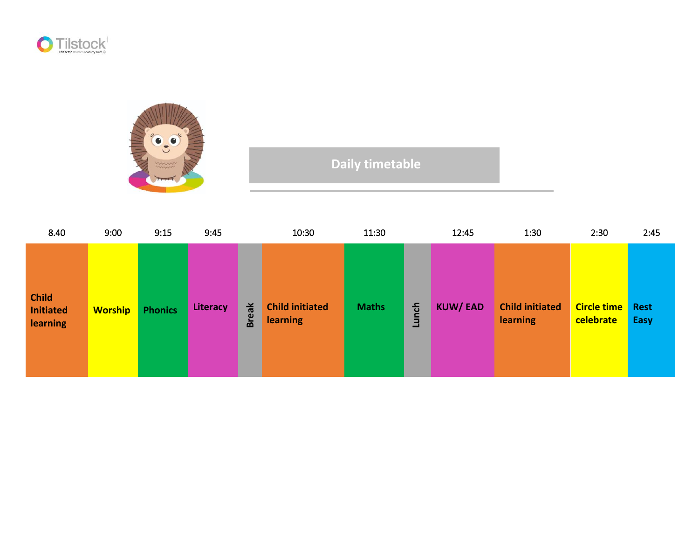



## **Daily timetable**

| 8.40                                                | 9:00           | 9:15           | 9:45     |              | 10:30                                     | 11:30        |       | 12:45          | 1:30                                      | 2:30                            | 2:45                |
|-----------------------------------------------------|----------------|----------------|----------|--------------|-------------------------------------------|--------------|-------|----------------|-------------------------------------------|---------------------------------|---------------------|
| <b>Child</b><br><b>Initiated</b><br><b>learning</b> | <b>Worship</b> | <b>Phonics</b> | Literacy | <b>Break</b> | <b>Child initiated</b><br><b>learning</b> | <b>Maths</b> | Lunch | <b>KUW/EAD</b> | <b>Child initiated</b><br><b>learning</b> | <b>Circle time</b><br>celebrate | <b>Rest</b><br>Easy |